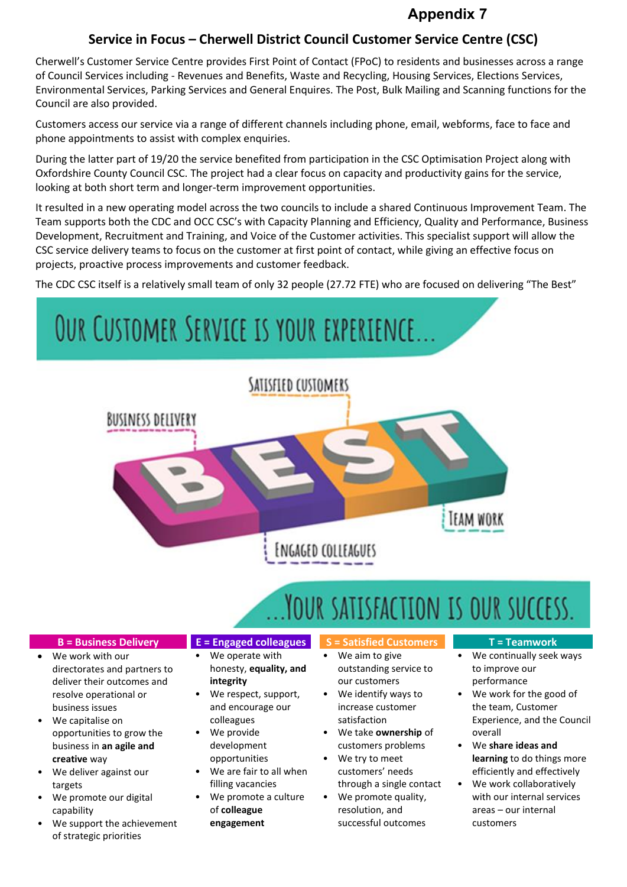### **Appendix 7**

#### **Service in Focus – Cherwell District Council Customer Service Centre (CSC)**

Cherwell's Customer Service Centre provides First Point of Contact (FPoC) to residents and businesses across a range of Council Services including - Revenues and Benefits, Waste and Recycling, Housing Services, Elections Services, Environmental Services, Parking Services and General Enquires. The Post, Bulk Mailing and Scanning functions for the Council are also provided.

Customers access our service via a range of different channels including phone, email, webforms, face to face and phone appointments to assist with complex enquiries.

During the latter part of 19/20 the service benefited from participation in the CSC Optimisation Project along with Oxfordshire County Council CSC. The project had a clear focus on capacity and productivity gains for the service, looking at both short term and longer-term improvement opportunities.

It resulted in a new operating model across the two councils to include a shared Continuous Improvement Team. The Team supports both the CDC and OCC CSC's with Capacity Planning and Efficiency, Quality and Performance, Business Development, Recruitment and Training, and Voice of the Customer activities. This specialist support will allow the CSC service delivery teams to focus on the customer at first point of contact, while giving an effective focus on projects, proactive process improvements and customer feedback.

The CDC CSC itself is a relatively small team of only 32 people (27.72 FTE) who are focused on delivering "The Best"

# OUR CUSTOMER SERVICE IS YOUR EXPERIENCE. SATISFIED CUSTOMERS BUSINESS DELIVERY **TEAM WORK ENGAGED COLLEAGUES**

## YOUR SATISFACTION IS OUR SUCCESS.

directorates and partners to deliver their outcomes and resolve operational or business issues • We capitalise on

opportunities to grow the business in **an agile and**

• We deliver against our

We promote our digital

of strategic priorities

We support the achievement

We work with our

**creative** way

targets

capability

- **B = Business Delivery E = Engaged colleagues S = Satisfied Customers T = Teamwork**
	- We operate with honesty, **equality, and**
	- **integrity** We respect, support,
	- and encourage our colleagues
	- We provide development opportunities
	- We are fair to all when filling vacancies
	- We promote a culture of **colleague engagement**
- 
- We aim to give outstanding service to our customers
- We identify ways to increase customer satisfaction
- We take **ownership** of customers problems
- We try to meet customers' needs
- through a single contact • We promote quality, resolution, and successful outcomes

- We continually seek ways to improve our performance
- We work for the good of the team, Customer Experience, and the Council overall
- We **share ideas and learning** to do things more efficiently and effectively
- We work collaboratively with our internal services areas – our internal customers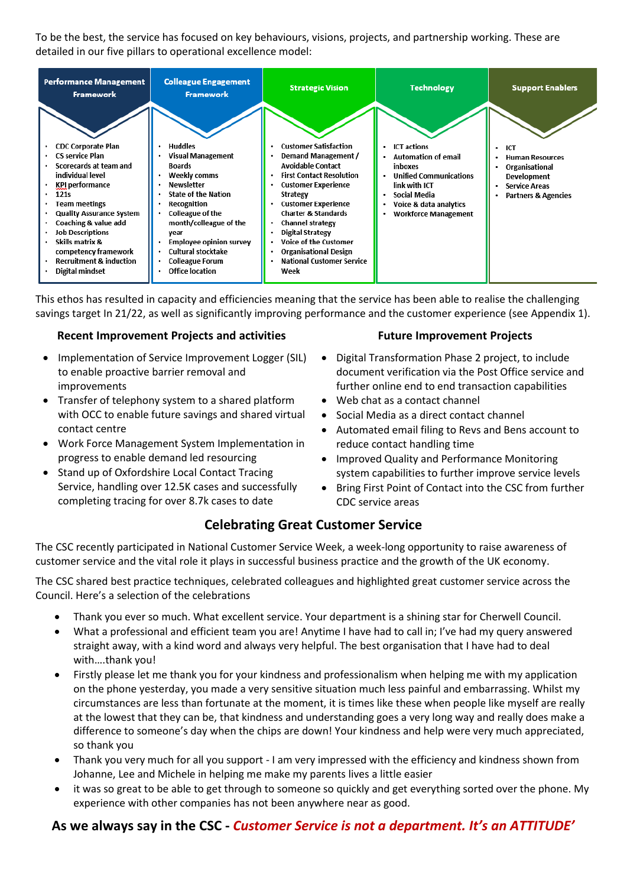To be the best, the service has focused on key behaviours, visions, projects, and partnership working. These are detailed in our five pillars to operational excellence model:

| Performance Management<br>Framework                                                                                                                                                                                                                                                                                                                   | <b>Colleague Engagement</b><br><b>Framework</b>                                                                                                                                                                                                                                                                             | <b>Strategic Vision</b>                                                                                                                                                                                                                                                                                                                                                          | <b>Technology</b>                                                                                                                                                                           | <b>Support Enablers</b>                                                                                                                |
|-------------------------------------------------------------------------------------------------------------------------------------------------------------------------------------------------------------------------------------------------------------------------------------------------------------------------------------------------------|-----------------------------------------------------------------------------------------------------------------------------------------------------------------------------------------------------------------------------------------------------------------------------------------------------------------------------|----------------------------------------------------------------------------------------------------------------------------------------------------------------------------------------------------------------------------------------------------------------------------------------------------------------------------------------------------------------------------------|---------------------------------------------------------------------------------------------------------------------------------------------------------------------------------------------|----------------------------------------------------------------------------------------------------------------------------------------|
| <b>CDC Corporate Plan</b><br><b>CS service Plan</b><br>Scorecards at team and<br>individual level<br><b>KPI performance</b><br>121s<br><b>Team meetings</b><br><b>Quality Assurance System</b><br>Coaching & value add<br><b>Job Descriptions</b><br>Skills matrix &<br>competency framework<br><b>Recruitment &amp; induction</b><br>Digital mindset | <b>Huddles</b><br>٠<br><b>Visual Management</b><br><b>Boards</b><br>Weekly comms<br><b>Newsletter</b><br><b>State of the Nation</b><br>Recognition<br><b>Colleague of the</b><br>month/colleague of the<br>year<br><b>Employee opinion survey</b><br>Cultural stocktake<br><b>Colleague Forum</b><br><b>Office location</b> | <b>Customer Satisfaction</b><br>Demand Management /<br><b>Avoidable Contact</b><br><b>First Contact Resolution</b><br><b>Customer Experience</b><br>Strategy<br><b>Customer Experience</b><br><b>Charter &amp; Standards</b><br>Channel strategy<br>Digital Strategy<br><b>Voice of the Customer</b><br><b>Organisational Design</b><br><b>National Customer Service</b><br>Week | <b>ICT</b> actions<br>٠<br><b>Automation of email</b><br>inboxes<br><b>Unified Communications</b><br>link with ICT<br>Social Media<br>Voice & data analytics<br><b>Workforce Management</b> | <b>ICT</b><br><b>Human Resources</b><br>Organisational<br><b>Development</b><br><b>Service Areas</b><br><b>Partners &amp; Agencies</b> |

This ethos has resulted in capacity and efficiencies meaning that the service has been able to realise the challenging savings target In 21/22, as well as significantly improving performance and the customer experience (see Appendix 1).

#### **Recent Improvement Projects and activities**

- Implementation of Service Improvement Logger (SIL) to enable proactive barrier removal and improvements
- Transfer of telephony system to a shared platform with OCC to enable future savings and shared virtual contact centre
- Work Force Management System Implementation in progress to enable demand led resourcing
- Stand up of Oxfordshire Local Contact Tracing Service, handling over 12.5K cases and successfully completing tracing for over 8.7k cases to date

#### **Future Improvement Projects**

- Digital Transformation Phase 2 project, to include document verification via the Post Office service and further online end to end transaction capabilities
- Web chat as a contact channel
- Social Media as a direct contact channel
- Automated email filing to Revs and Bens account to reduce contact handling time
- Improved Quality and Performance Monitoring system capabilities to further improve service levels
- Bring First Point of Contact into the CSC from further CDC service areas

### **Celebrating Great Customer Service**

The CSC recently participated in National Customer Service Week, a week-long opportunity to raise awareness of customer service and the vital role it plays in successful business practice and the growth of the UK economy.

The CSC shared best practice techniques, celebrated colleagues and highlighted great customer service across the Council. Here's a selection of the celebrations

- Thank you ever so much. What excellent service. Your department is a shining star for Cherwell Council.
- What a professional and efficient team you are! Anytime I have had to call in; I've had my query answered straight away, with a kind word and always very helpful. The best organisation that I have had to deal with….thank you!
- Firstly please let me thank you for your kindness and professionalism when helping me with my application on the phone yesterday, you made a very sensitive situation much less painful and embarrassing. Whilst my circumstances are less than fortunate at the moment, it is times like these when people like myself are really at the lowest that they can be, that kindness and understanding goes a very long way and really does make a difference to someone's day when the chips are down! Your kindness and help were very much appreciated, so thank you
- Thank you very much for all you support I am very impressed with the efficiency and kindness shown from Johanne, Lee and Michele in helping me make my parents lives a little easier
- it was so great to be able to get through to someone so quickly and get everything sorted over the phone. My experience with other companies has not been anywhere near as good.

#### **As we always say in the CSC -** *Customer Service is not a department. It's an ATTITUDE'*